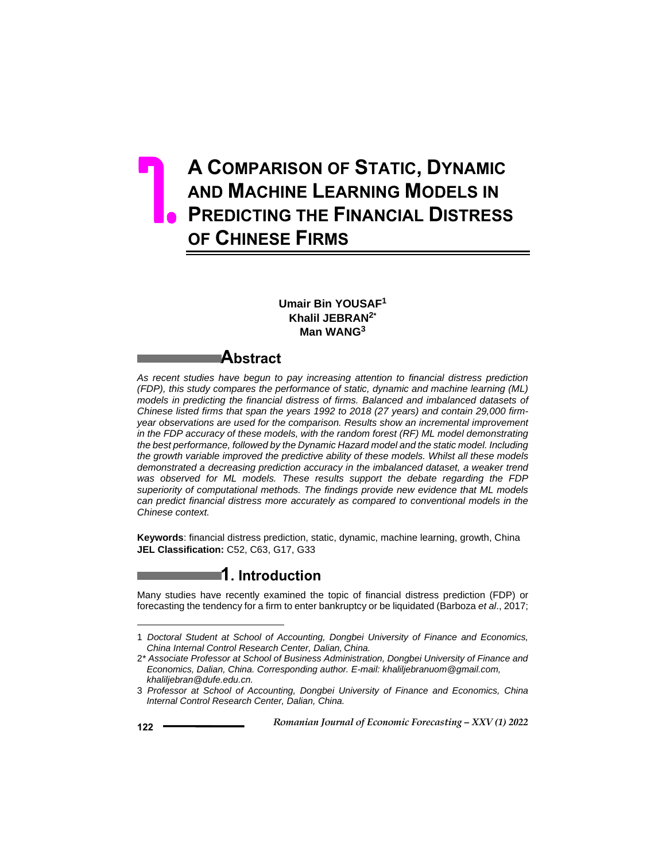# **A COMPARISON OF STATIC, DYNAMIC AND MACHINE LEARNING MODELS IN PREDICTING THE FINANCIAL DISTRESS OF CHINESE FIRMS** 7.

## **Umair Bin YOUSAF<sup>1</sup> Khalil JEBRAN2\* Man WANG<sup>3</sup>**

# **Abstract**

*As recent studies have begun to pay increasing attention to financial distress prediction (FDP), this study compares the performance of static, dynamic and machine learning (ML) models in predicting the financial distress of firms. Balanced and imbalanced datasets of Chinese listed firms that span the years 1992 to 2018 (27 years) and contain 29,000 firmyear observations are used for the comparison. Results show an incremental improvement in the FDP accuracy of these models, with the random forest (RF) ML model demonstrating the best performance, followed by the Dynamic Hazard model and the static model. Including the growth variable improved the predictive ability of these models. Whilst all these models demonstrated a decreasing prediction accuracy in the imbalanced dataset, a weaker trend was observed for ML models. These results support the debate regarding the FDP superiority of computational methods. The findings provide new evidence that ML models can predict financial distress more accurately as compared to conventional models in the Chinese context.* 

**Keywords**: financial distress prediction, static, dynamic, machine learning, growth, China **JEL Classification:** C52, C63, G17, G33

## **1. Introduction**

Many studies have recently examined the topic of financial distress prediction (FDP) or forecasting the tendency for a firm to enter bankruptcy or be liquidated (Barboza *et al*., 2017;

 $\overline{a}$ 

<sup>1</sup> *Doctoral Student at School of Accounting, Dongbei University of Finance and Economics, China Internal Control Research Center, Dalian, China.*

<sup>2</sup>*\* Associate Professor at School of Business Administration, Dongbei University of Finance and Economics, Dalian, China. Corresponding author. E-mail: khaliljebranuom@gmail.com, khaliljebran@dufe.edu.cn.*

<sup>3</sup> *Professor at School of Accounting, Dongbei University of Finance and Economics, China Internal Control Research Center, Dalian, China.*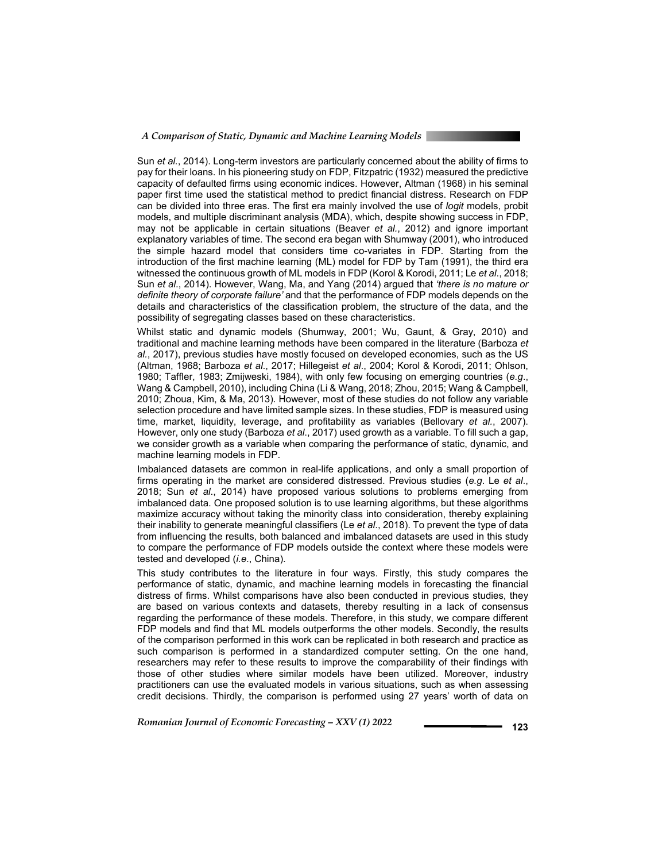#### *A Comparison of Static, Dynamic and Machine Learning Models*

Sun *et al.*, 2014). Long-term investors are particularly concerned about the ability of firms to pay for their loans. In his pioneering study on FDP, Fitzpatric (1932) measured the predictive capacity of defaulted firms using economic indices. However, Altman (1968) in his seminal paper first time used the statistical method to predict financial distress. Research on FDP can be divided into three eras. The first era mainly involved the use of *logit* models, probit models, and multiple discriminant analysis (MDA), which, despite showing success in FDP, may not be applicable in certain situations (Beaver *et al.*, 2012) and ignore important explanatory variables of time. The second era began with Shumway (2001), who introduced the simple hazard model that considers time co-variates in FDP. Starting from the introduction of the first machine learning (ML) model for FDP by Tam (1991), the third era witnessed the continuous growth of ML models in FDP (Korol & Korodi, 2011; Le *et al*., 2018; Sun *et al*., 2014). However, Wang, Ma, and Yang (2014) argued that *'there is no mature or definite theory of corporate failure'* and that the performance of FDP models depends on the details and characteristics of the classification problem, the structure of the data, and the possibility of segregating classes based on these characteristics.

Whilst static and dynamic models (Shumway, 2001; Wu, Gaunt, & Gray, 2010) and traditional and machine learning methods have been compared in the literature (Barboza *et al.*, 2017), previous studies have mostly focused on developed economies, such as the US (Altman, 1968; Barboza *et al*., 2017; Hillegeist *et al*., 2004; Korol & Korodi, 2011; Ohlson, 1980; Taffler, 1983; Zmijweski, 1984), with only few focusing on emerging countries (*e.g*., Wang & Campbell, 2010), including China (Li & Wang, 2018; Zhou, 2015; Wang & Campbell, 2010; Zhoua, Kim, & Ma, 2013). However, most of these studies do not follow any variable selection procedure and have limited sample sizes. In these studies, FDP is measured using time, market, liquidity, leverage, and profitability as variables (Bellovary *et al.*, 2007). However, only one study (Barboza *et al*., 2017) used growth as a variable. To fill such a gap, we consider growth as a variable when comparing the performance of static, dynamic, and machine learning models in FDP.

Imbalanced datasets are common in real-life applications, and only a small proportion of firms operating in the market are considered distressed. Previous studies (*e.g*. Le *et al*., 2018; Sun *et al*., 2014) have proposed various solutions to problems emerging from imbalanced data. One proposed solution is to use learning algorithms, but these algorithms maximize accuracy without taking the minority class into consideration, thereby explaining their inability to generate meaningful classifiers (Le *et al*., 2018). To prevent the type of data from influencing the results, both balanced and imbalanced datasets are used in this study to compare the performance of FDP models outside the context where these models were tested and developed (*i.e*., China).

This study contributes to the literature in four ways. Firstly, this study compares the performance of static, dynamic, and machine learning models in forecasting the financial distress of firms. Whilst comparisons have also been conducted in previous studies, they are based on various contexts and datasets, thereby resulting in a lack of consensus regarding the performance of these models. Therefore, in this study, we compare different FDP models and find that ML models outperforms the other models. Secondly, the results of the comparison performed in this work can be replicated in both research and practice as such comparison is performed in a standardized computer setting. On the one hand, researchers may refer to these results to improve the comparability of their findings with those of other studies where similar models have been utilized. Moreover, industry practitioners can use the evaluated models in various situations, such as when assessing credit decisions. Thirdly, the comparison is performed using 27 years' worth of data on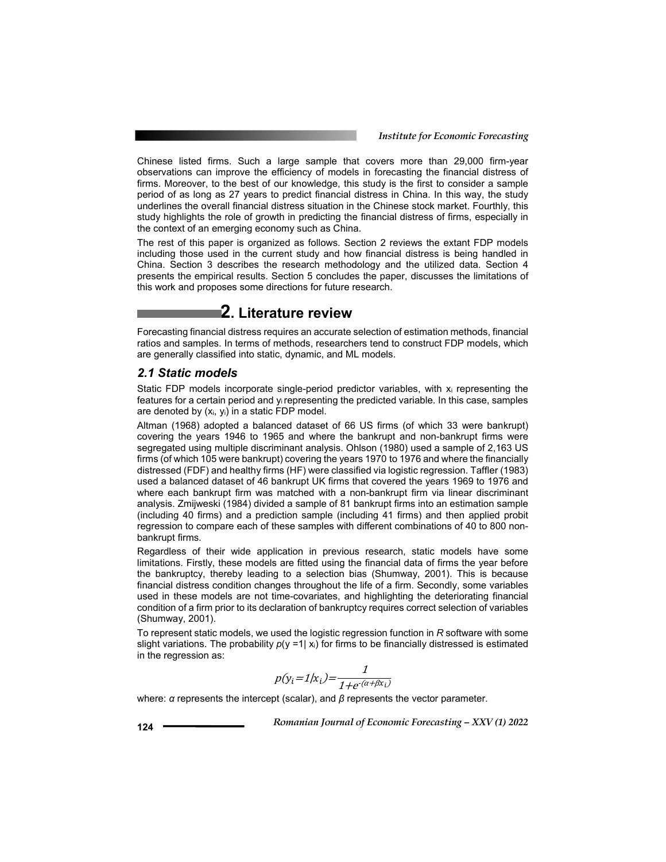Chinese listed firms. Such a large sample that covers more than 29,000 firm-year observations can improve the efficiency of models in forecasting the financial distress of firms. Moreover, to the best of our knowledge, this study is the first to consider a sample period of as long as 27 years to predict financial distress in China. In this way, the study underlines the overall financial distress situation in the Chinese stock market. Fourthly, this study highlights the role of growth in predicting the financial distress of firms, especially in the context of an emerging economy such as China.

The rest of this paper is organized as follows. Section 2 reviews the extant FDP models including those used in the current study and how financial distress is being handled in China. Section 3 describes the research methodology and the utilized data. Section 4 presents the empirical results. Section 5 concludes the paper, discusses the limitations of this work and proposes some directions for future research.

# **2. Literature review**

Forecasting financial distress requires an accurate selection of estimation methods, financial ratios and samples. In terms of methods, researchers tend to construct FDP models, which are generally classified into static, dynamic, and ML models.

#### *2.1 Static models*

Static FDP models incorporate single-period predictor variables, with xi representing the features for a certain period and yi representing the predicted variable. In this case, samples are denoted by  $(x_i, y_i)$  in a static FDP model.

Altman (1968) adopted a balanced dataset of 66 US firms (of which 33 were bankrupt) covering the years 1946 to 1965 and where the bankrupt and non-bankrupt firms were segregated using multiple discriminant analysis. Ohlson (1980) used a sample of 2,163 US firms (of which 105 were bankrupt) covering the years 1970 to 1976 and where the financially distressed (FDF) and healthy firms (HF) were classified via logistic regression. Taffler (1983) used a balanced dataset of 46 bankrupt UK firms that covered the years 1969 to 1976 and where each bankrupt firm was matched with a non-bankrupt firm via linear discriminant analysis. Zmijweski (1984) divided a sample of 81 bankrupt firms into an estimation sample (including 40 firms) and a prediction sample (including 41 firms) and then applied probit regression to compare each of these samples with different combinations of 40 to 800 nonbankrupt firms.

Regardless of their wide application in previous research, static models have some limitations. Firstly, these models are fitted using the financial data of firms the year before the bankruptcy, thereby leading to a selection bias (Shumway, 2001). This is because financial distress condition changes throughout the life of a firm. Secondly, some variables used in these models are not time-covariates, and highlighting the deteriorating financial condition of a firm prior to its declaration of bankruptcy requires correct selection of variables (Shumway, 2001).

To represent static models, we used the logistic regression function in *R* software with some slight variations. The probability  $p(y = 1 | x_i)$  for firms to be financially distressed is estimated in the regression as:

$$
p(y_i=1|x_i) = \frac{1}{1+e^{(\alpha+\beta x_i)}}
$$

where: *α* represents the intercept (scalar), and *β* represents the vector parameter.

$$
124
$$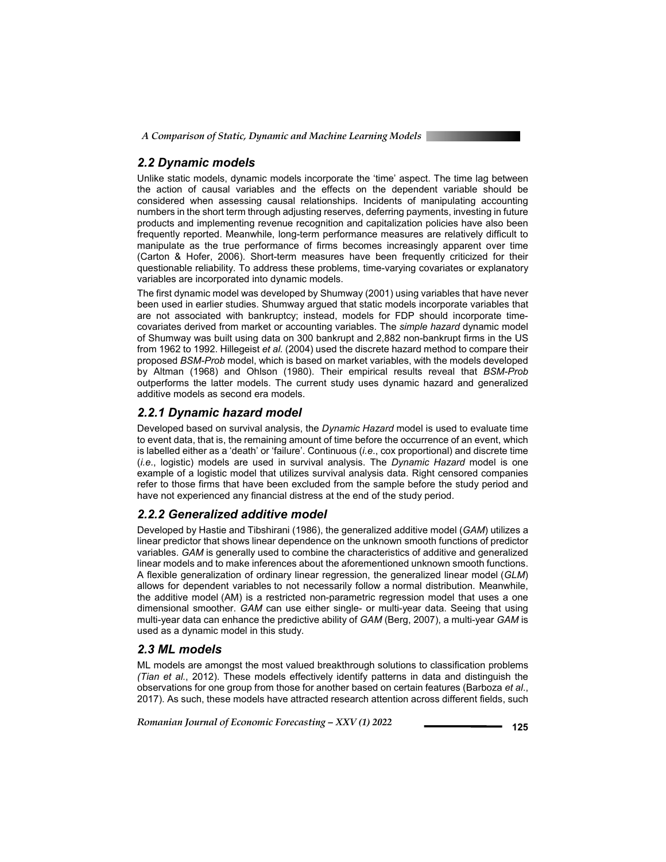## *2.2 Dynamic models*

Unlike static models, dynamic models incorporate the 'time' aspect. The time lag between the action of causal variables and the effects on the dependent variable should be considered when assessing causal relationships. Incidents of manipulating accounting numbers in the short term through adjusting reserves, deferring payments, investing in future products and implementing revenue recognition and capitalization policies have also been frequently reported. Meanwhile, long-term performance measures are relatively difficult to manipulate as the true performance of firms becomes increasingly apparent over time (Carton & Hofer, 2006). Short-term measures have been frequently criticized for their questionable reliability. To address these problems, time-varying covariates or explanatory variables are incorporated into dynamic models.

The first dynamic model was developed by Shumway (2001) using variables that have never been used in earlier studies. Shumway argued that static models incorporate variables that are not associated with bankruptcy; instead, models for FDP should incorporate timecovariates derived from market or accounting variables. The *simple hazard* dynamic model of Shumway was built using data on 300 bankrupt and 2,882 non-bankrupt firms in the US from 1962 to 1992. Hillegeist *et al.* (2004) used the discrete hazard method to compare their proposed *BSM-Prob* model, which is based on market variables, with the models developed by Altman (1968) and Ohlson (1980). Their empirical results reveal that *BSM-Prob* outperforms the latter models. The current study uses dynamic hazard and generalized additive models as second era models.

### *2.2.1 Dynamic hazard model*

Developed based on survival analysis, the *Dynamic Hazard* model is used to evaluate time to event data, that is, the remaining amount of time before the occurrence of an event, which is labelled either as a 'death' or 'failure'. Continuous (*i.e*., cox proportional) and discrete time (*i.e*., logistic) models are used in survival analysis. The *Dynamic Hazard* model is one example of a logistic model that utilizes survival analysis data. Right censored companies refer to those firms that have been excluded from the sample before the study period and have not experienced any financial distress at the end of the study period.

### *2.2.2 Generalized additive model*

Developed by Hastie and Tibshirani (1986), the generalized additive model (*GAM*) utilizes a linear predictor that shows linear dependence on the unknown smooth functions of predictor variables. *GAM* is generally used to combine the characteristics of additive and generalized linear models and to make inferences about the aforementioned unknown smooth functions. A flexible generalization of ordinary linear regression, the generalized linear model (*GLM*) allows for dependent variables to not necessarily follow a normal distribution. Meanwhile, the additive model (AM) is a restricted non-parametric regression model that uses a one dimensional smoother. *GAM* can use either single- or multi-year data. Seeing that using multi-year data can enhance the predictive ability of *GAM* (Berg, 2007), a multi-year *GAM* is used as a dynamic model in this study.

### *2.3 ML models*

ML models are amongst the most valued breakthrough solutions to classification problems *(Tian et al.*, 2012). These models effectively identify patterns in data and distinguish the observations for one group from those for another based on certain features (Barboza *et al*., 2017). As such, these models have attracted research attention across different fields, such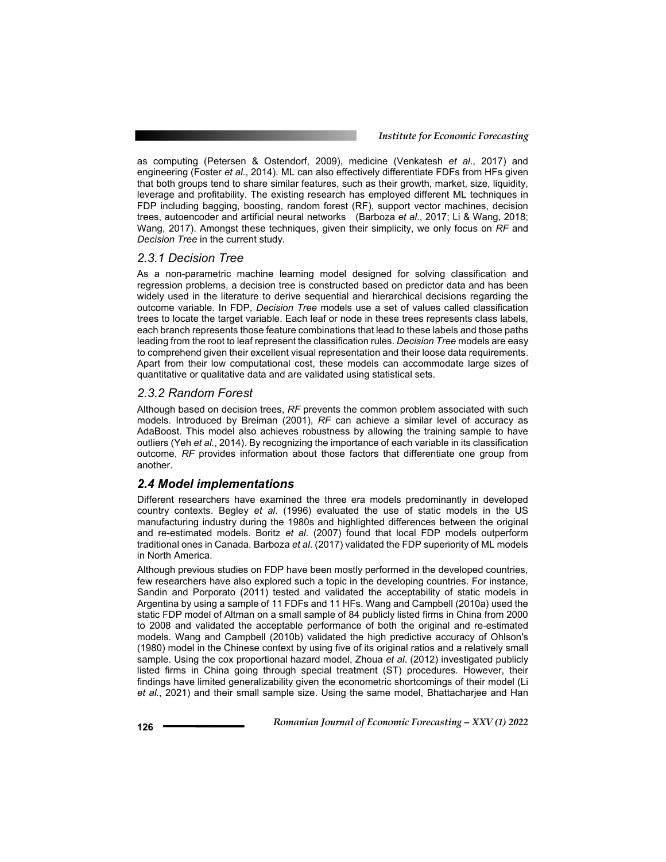as computing (Petersen & Ostendorf, 2009), medicine (Venkatesh *et al*., 2017) and engineering (Foster *et al*., 2014). ML can also effectively differentiate FDFs from HFs given that both groups tend to share similar features, such as their growth, market, size, liquidity, leverage and profitability. The existing research has employed different ML techniques in FDP including bagging, boosting, random forest (RF), support vector machines, decision trees, autoencoder and artificial neural networks (Barboza *et al*., 2017; Li & Wang, 2018; Wang, 2017). Amongst these techniques, given their simplicity, we only focus on *RF* and *Decision Tree* in the current study.

#### *2.3.1 Decision Tree*

As a non-parametric machine learning model designed for solving classification and regression problems, a decision tree is constructed based on predictor data and has been widely used in the literature to derive sequential and hierarchical decisions regarding the outcome variable. In FDP, *Decision Tree* models use a set of values called classification trees to locate the target variable. Each leaf or node in these trees represents class labels, each branch represents those feature combinations that lead to these labels and those paths leading from the root to leaf represent the classification rules. *Decision Tree* models are easy to comprehend given their excellent visual representation and their loose data requirements. Apart from their low computational cost, these models can accommodate large sizes of quantitative or qualitative data and are validated using statistical sets.

#### *2.3.2 Random Forest*

Although based on decision trees, *RF* prevents the common problem associated with such models. Introduced by Breiman (2001), *RF* can achieve a similar level of accuracy as AdaBoost. This model also achieves robustness by allowing the training sample to have outliers (Yeh *et al.*, 2014). By recognizing the importance of each variable in its classification outcome, *RF* provides information about those factors that differentiate one group from another.

#### *2.4 Model implementations*

Different researchers have examined the three era models predominantly in developed country contexts. Begley *et al*. (1996) evaluated the use of static models in the US manufacturing industry during the 1980s and highlighted differences between the original and re-estimated models. Boritz *et al*. (2007) found that local FDP models outperform traditional ones in Canada. Barboza *et al*. (2017) validated the FDP superiority of ML models in North America.

Although previous studies on FDP have been mostly performed in the developed countries, few researchers have also explored such a topic in the developing countries. For instance, Sandin and Porporato (2011) tested and validated the acceptability of static models in Argentina by using a sample of 11 FDFs and 11 HFs. Wang and Campbell (2010a) used the static FDP model of Altman on a small sample of 84 publicly listed firms in China from 2000 to 2008 and validated the acceptable performance of both the original and re-estimated models. Wang and Campbell (2010b) validated the high predictive accuracy of Ohlson's (1980) model in the Chinese context by using five of its original ratios and a relatively small sample. Using the cox proportional hazard model, Zhoua *et al*. (2012) investigated publicly listed firms in China going through special treatment (ST) procedures. However, their findings have limited generalizability given the econometric shortcomings of their model (Li *et al*., 2021) and their small sample size. Using the same model, Bhattacharjee and Han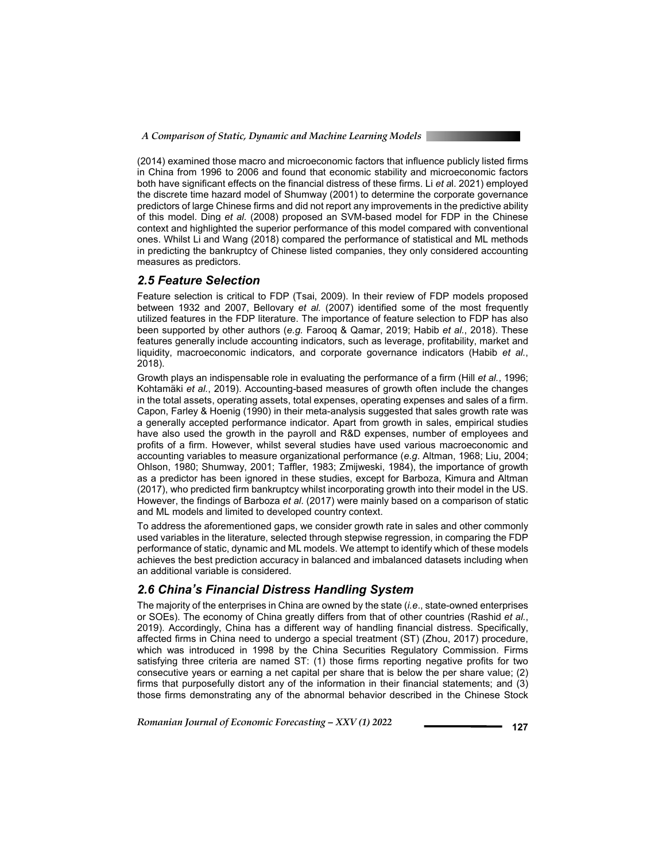(2014) examined those macro and microeconomic factors that influence publicly listed firms in China from 1996 to 2006 and found that economic stability and microeconomic factors both have significant effects on the financial distress of these firms. Li *et a*l. 2021) employed the discrete time hazard model of Shumway (2001) to determine the corporate governance predictors of large Chinese firms and did not report any improvements in the predictive ability of this model. Ding *et al.* (2008) proposed an SVM-based model for FDP in the Chinese context and highlighted the superior performance of this model compared with conventional ones. Whilst Li and Wang (2018) compared the performance of statistical and ML methods in predicting the bankruptcy of Chinese listed companies, they only considered accounting measures as predictors.

#### *2.5 Feature Selection*

Feature selection is critical to FDP (Tsai, 2009). In their review of FDP models proposed between 1932 and 2007, Bellovary *et al.* (2007) identified some of the most frequently utilized features in the FDP literature. The importance of feature selection to FDP has also been supported by other authors (*e.g.* Farooq & Qamar, 2019; Habib *et al.*, 2018). These features generally include accounting indicators, such as leverage, profitability, market and liquidity, macroeconomic indicators, and corporate governance indicators (Habib *et al.*, 2018).

Growth plays an indispensable role in evaluating the performance of a firm (Hill *et al.*, 1996; Kohtamäki *et al.*, 2019). Accounting-based measures of growth often include the changes in the total assets, operating assets, total expenses, operating expenses and sales of a firm. Capon, Farley & Hoenig (1990) in their meta-analysis suggested that sales growth rate was a generally accepted performance indicator. Apart from growth in sales, empirical studies have also used the growth in the payroll and R&D expenses, number of employees and profits of a firm. However, whilst several studies have used various macroeconomic and accounting variables to measure organizational performance (*e.g*. Altman, 1968; Liu, 2004; Ohlson, 1980; Shumway, 2001; Taffler, 1983; Zmijweski, 1984), the importance of growth as a predictor has been ignored in these studies, except for Barboza, Kimura and Altman (2017), who predicted firm bankruptcy whilst incorporating growth into their model in the US. However, the findings of Barboza *et al*. (2017) were mainly based on a comparison of static and ML models and limited to developed country context.

To address the aforementioned gaps, we consider growth rate in sales and other commonly used variables in the literature, selected through stepwise regression, in comparing the FDP performance of static, dynamic and ML models. We attempt to identify which of these models achieves the best prediction accuracy in balanced and imbalanced datasets including when an additional variable is considered.

### *2.6 China's Financial Distress Handling System*

The majority of the enterprises in China are owned by the state (*i.e*., state-owned enterprises or SOEs). The economy of China greatly differs from that of other countries (Rashid *et al.*, 2019). Accordingly, China has a different way of handling financial distress. Specifically, affected firms in China need to undergo a special treatment (ST) (Zhou, 2017) procedure, which was introduced in 1998 by the China Securities Regulatory Commission. Firms satisfying three criteria are named ST: (1) those firms reporting negative profits for two consecutive years or earning a net capital per share that is below the per share value; (2) firms that purposefully distort any of the information in their financial statements; and (3) those firms demonstrating any of the abnormal behavior described in the Chinese Stock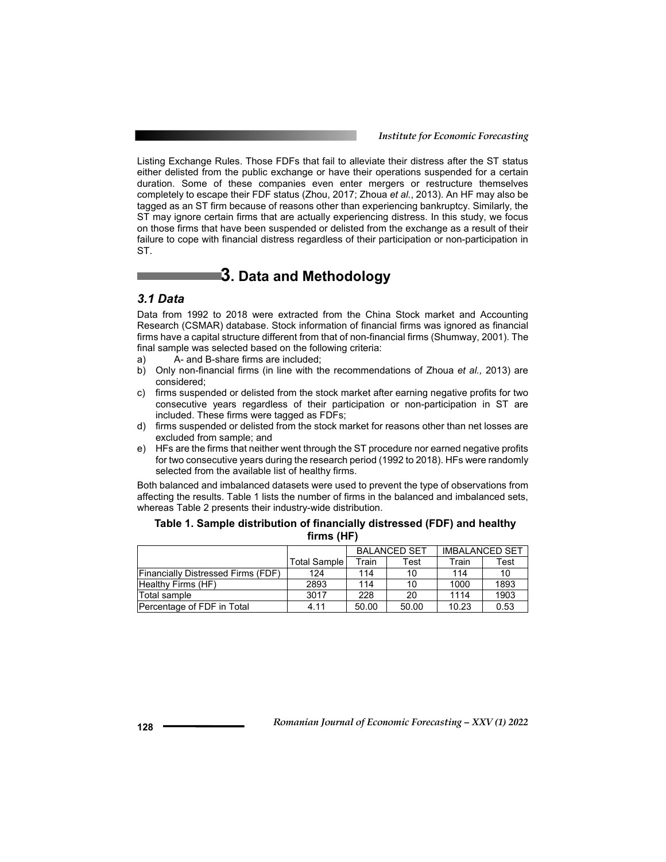*Institute for Economic Forecasting*

Listing Exchange Rules. Those FDFs that fail to alleviate their distress after the ST status either delisted from the public exchange or have their operations suspended for a certain duration. Some of these companies even enter mergers or restructure themselves completely to escape their FDF status (Zhou, 2017; Zhoua *et al.*, 2013). An HF may also be tagged as an ST firm because of reasons other than experiencing bankruptcy. Similarly, the ST may ignore certain firms that are actually experiencing distress. In this study, we focus on those firms that have been suspended or delisted from the exchange as a result of their failure to cope with financial distress regardless of their participation or non-participation in ST.

# **3. Data and Methodology**

### *3.1 Data*

Data from 1992 to 2018 were extracted from the China Stock market and Accounting Research (CSMAR) database. Stock information of financial firms was ignored as financial firms have a capital structure different from that of non-financial firms (Shumway, 2001). The final sample was selected based on the following criteria:

- a) A- and B-share firms are included;
- b) Only non-financial firms (in line with the recommendations of Zhoua *et al.,* 2013) are considered;
- c) firms suspended or delisted from the stock market after earning negative profits for two consecutive years regardless of their participation or non-participation in ST are included. These firms were tagged as FDFs;
- d) firms suspended or delisted from the stock market for reasons other than net losses are excluded from sample; and
- e) HFs are the firms that neither went through the ST procedure nor earned negative profits for two consecutive years during the research period (1992 to 2018). HFs were randomly selected from the available list of healthy firms.

Both balanced and imbalanced datasets were used to prevent the type of observations from affecting the results. Table 1 lists the number of firms in the balanced and imbalanced sets, whereas Table 2 presents their industry-wide distribution.

|                                           |              | <b>BALANCED SET</b> |       | <b>IMBALANCED SET</b> |      |  |
|-------------------------------------------|--------------|---------------------|-------|-----------------------|------|--|
|                                           | Total Sample | Train               | Test  | Train                 | Test |  |
| <b>Financially Distressed Firms (FDF)</b> | 124          | 114                 | 10    | 114                   | 10   |  |
| <b>Healthy Firms (HF)</b>                 | 2893         | 114                 | 10    | 1000                  | 1893 |  |
| Total sample                              | 3017         | 228                 | 20    | 1114                  | 1903 |  |
| Percentage of FDF in Total                | 4.11         | 50.00               | 50.00 | 10.23                 | 0.53 |  |

#### **Table 1. Sample distribution of financially distressed (FDF) and healthy firms (HF)**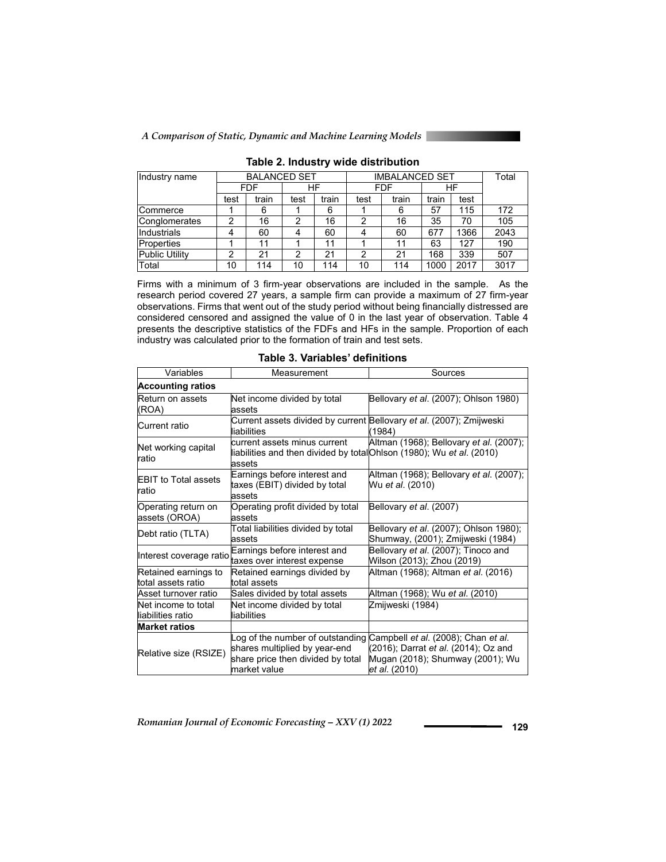

| Industry name         | <b>BALANCED SET</b> |       |      | <b>IMBALANCED SET</b> |            |       |       | Total |      |
|-----------------------|---------------------|-------|------|-----------------------|------------|-------|-------|-------|------|
|                       | FDF                 |       | HF   |                       | <b>FDF</b> |       | ΗF    |       |      |
|                       | test                | train | test | train                 | test       | train | train | test  |      |
| Commerce              |                     | 6     |      | 6                     |            | 6     | 57    | 115   | 172  |
| Conglomerates         | 2                   | 16    | 2    | 16                    | 2          | 16    | 35    | 70    | 105  |
| Industrials           | 4                   | 60    |      | 60                    | 4          | 60    | 677   | 1366  | 2043 |
| Properties            |                     | 11    |      | 11                    |            | 11    | 63    | 127   | 190  |
| <b>Public Utility</b> | 2                   | 21    | っ    | 21                    | 2          | 21    | 168   | 339   | 507  |
| Total                 | 10                  | 114   | 10   | 114                   | 10         | 114   | 1000  | 2017  | 3017 |

**Table 2. Industry wide distribution** 

Firms with a minimum of 3 firm-year observations are included in the sample. As the research period covered 27 years, a sample firm can provide a maximum of 27 firm-year observations. Firms that went out of the study period without being financially distressed are considered censored and assigned the value of 0 in the last year of observation. Table 4 presents the descriptive statistics of the FDFs and HFs in the sample. Proportion of each industry was calculated prior to the formation of train and test sets.

| Variables                                  | Measurement                                                                                                            | Sources                                                                                                                          |  |  |  |
|--------------------------------------------|------------------------------------------------------------------------------------------------------------------------|----------------------------------------------------------------------------------------------------------------------------------|--|--|--|
| <b>Accounting ratios</b>                   |                                                                                                                        |                                                                                                                                  |  |  |  |
| Return on assets<br>(ROA)                  | Net income divided by total<br>assets                                                                                  | Bellovary et al. (2007); Ohlson 1980)                                                                                            |  |  |  |
| Current ratio                              | liabilities                                                                                                            | Current assets divided by current Bellovary et al. (2007); Zmijweski<br>(1984)                                                   |  |  |  |
| Net working capital<br>ratio               | current assets minus current<br>liabilities and then divided by total Ohlson (1980); Wu et al. (2010)<br>assets        | Altman (1968); Bellovary et al. (2007);                                                                                          |  |  |  |
| <b>EBIT</b> to Total assets<br>ratio       | Earnings before interest and<br>taxes (EBIT) divided by total<br>assets                                                | Altman (1968), Bellovary et al. (2007),<br>Wu et al. (2010)                                                                      |  |  |  |
| Operating return on<br>assets (OROA)       | Operating profit divided by total<br>assets                                                                            | Bellovary et al. (2007)                                                                                                          |  |  |  |
| Debt ratio (TLTA)                          | Total liabilities divided by total<br>assets                                                                           | Bellovary et al. (2007); Ohlson 1980);<br>Shumway, (2001); Zmijweski (1984)                                                      |  |  |  |
| Interest coverage ratio                    | Earnings before interest and<br>taxes over interest expense                                                            | Bellovary et al. (2007); Tinoco and<br>Wilson (2013), Zhou (2019)                                                                |  |  |  |
| Retained earnings to<br>total assets ratio | Retained earnings divided by<br>total assets                                                                           | Altman (1968); Altman et al. (2016)                                                                                              |  |  |  |
| Asset turnover ratio                       | Sales divided by total assets                                                                                          | Altman (1968); Wu et al. (2010)                                                                                                  |  |  |  |
| Net income to total<br>liabilities ratio   | Net income divided by total<br>liabilities                                                                             | Zmijweski (1984)                                                                                                                 |  |  |  |
| <b>Market ratios</b>                       |                                                                                                                        |                                                                                                                                  |  |  |  |
| Relative size (RSIZE)                      | Log of the number of outstanding<br>shares multiplied by year-end<br>share price then divided by total<br>market value | Campbell et al. (2008); Chan et al.<br>(2016); Darrat et al. (2014); Oz and<br>Mugan (2018); Shumway (2001); Wu<br>et al. (2010) |  |  |  |

| Table 3. Variables' definitions |  |
|---------------------------------|--|
|---------------------------------|--|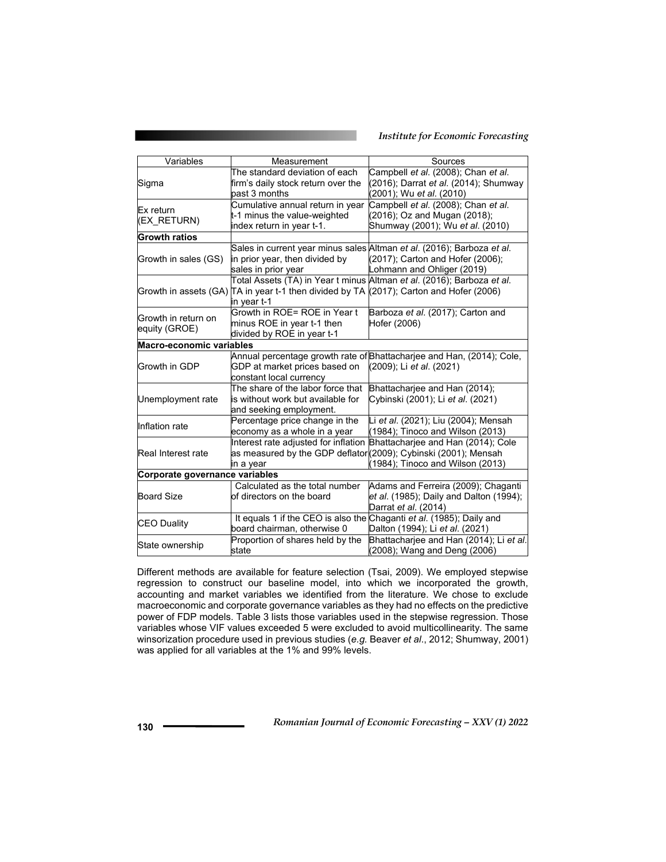#### *Institute for Economic Forecasting*

| Variables                            | Measurement                                                                                            | Sources                                                                                                                                  |  |  |  |  |  |  |
|--------------------------------------|--------------------------------------------------------------------------------------------------------|------------------------------------------------------------------------------------------------------------------------------------------|--|--|--|--|--|--|
| Sigma                                | The standard deviation of each<br>firm's daily stock return over the                                   | Campbell et al. (2008), Chan et al.<br>(2016); Darrat et al. (2014); Shumway                                                             |  |  |  |  |  |  |
|                                      | past 3 months                                                                                          | (2001), Wu <i>et al</i> . (2010)                                                                                                         |  |  |  |  |  |  |
| Ex return<br>(EX_RETURN)             | Cumulative annual return in year<br>t-1 minus the value-weighted<br>index return in year t-1.          | Campbell et al. (2008); Chan et al.<br>(2016); Oz and Mugan (2018);<br>Shumway (2001); Wu et al. (2010)                                  |  |  |  |  |  |  |
| <b>Growth ratios</b>                 |                                                                                                        |                                                                                                                                          |  |  |  |  |  |  |
| Growth in sales (GS)                 | in prior year, then divided by<br>sales in prior year                                                  | Sales in current year minus sales Altman et al. (2016); Barboza et al.<br>(2017); Carton and Hofer (2006);<br>Lohmann and Ohliger (2019) |  |  |  |  |  |  |
|                                      | Growth in assets (GA) TA in year t-1 then divided by TA (2017); Carton and Hofer (2006)<br>in year t-1 | Total Assets (TA) in Year t minus Altman et al. (2016); Barboza et al.                                                                   |  |  |  |  |  |  |
| Growth in return on<br>equity (GROE) | Growth in ROE= ROE in Year t<br>minus ROE in year t-1 then<br>divided by ROE in year t-1               | Barboza et al. (2017); Carton and<br>Hofer (2006)                                                                                        |  |  |  |  |  |  |
| Macro-economic variables             |                                                                                                        |                                                                                                                                          |  |  |  |  |  |  |
| Growth in GDP                        | GDP at market prices based on<br>constant local currency                                               | Annual percentage growth rate of Bhattacharjee and Han, (2014); Cole,<br>(2009); Li et al. (2021)                                        |  |  |  |  |  |  |
| Unemployment rate                    | The share of the labor force that<br>is without work but available for<br>and seeking employment.      | Bhattacharjee and Han (2014);<br>Cybinski (2001); Li et al. (2021)                                                                       |  |  |  |  |  |  |
| Inflation rate                       | Percentage price change in the<br>economy as a whole in a year                                         | Li et al. (2021); Liu (2004); Mensah<br>(1984); Tinoco and Wilson (2013)                                                                 |  |  |  |  |  |  |
| Real Interest rate                   | as measured by the GDP deflator (2009); Cybinski (2001); Mensah<br>in a year                           | Interest rate adjusted for inflation Bhattacharjee and Han (2014); Cole<br>(1984); Tinoco and Wilson (2013)                              |  |  |  |  |  |  |
| Corporate governance variables       |                                                                                                        |                                                                                                                                          |  |  |  |  |  |  |
| <b>Board Size</b>                    | Calculated as the total number<br>of directors on the board                                            | Adams and Ferreira (2009); Chaganti<br>et al. (1985), Daily and Dalton (1994),<br>Darrat <i>et al.</i> (2014)                            |  |  |  |  |  |  |
| <b>CEO Duality</b>                   | It equals 1 if the CEO is also the Chaganti et al. (1985); Daily and<br>board chairman, otherwise 0    | Dalton (1994); Li et al. (2021)                                                                                                          |  |  |  |  |  |  |
| State ownership                      | Proportion of shares held by the<br>state                                                              | Bhattacharjee and Han (2014); Li et al.<br>(2008); Wang and Deng (2006)                                                                  |  |  |  |  |  |  |

Different methods are available for feature selection (Tsai, 2009). We employed stepwise regression to construct our baseline model, into which we incorporated the growth, accounting and market variables we identified from the literature. We chose to exclude macroeconomic and corporate governance variables as they had no effects on the predictive power of FDP models. Table 3 lists those variables used in the stepwise regression. Those variables whose VIF values exceeded 5 were excluded to avoid multicollinearity. The same winsorization procedure used in previous studies (*e.g.* Beaver *et al*., 2012; Shumway, 2001) was applied for all variables at the 1% and 99% levels.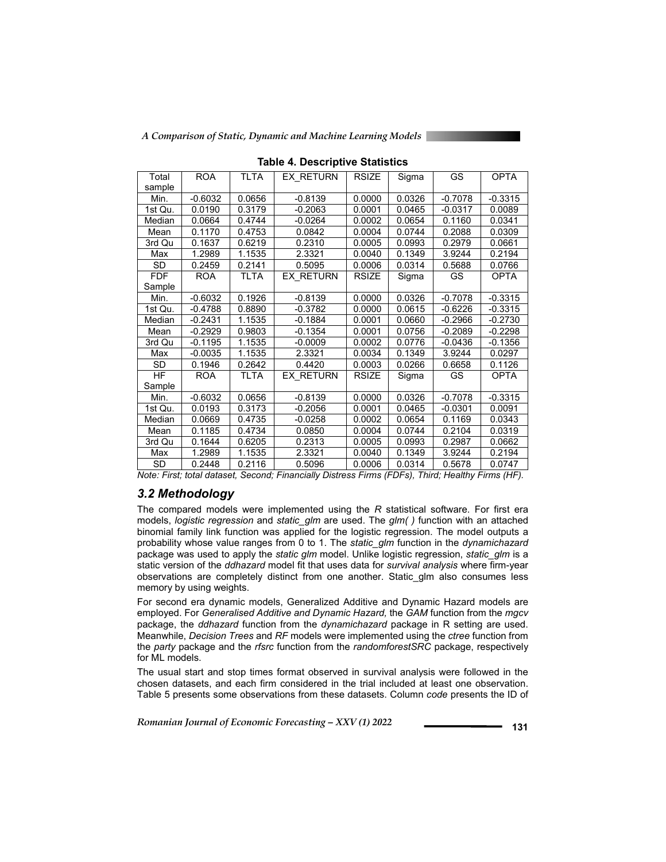*A Comparison of Static, Dynamic and Machine Learning Models*

| Total      | <b>ROA</b> | <b>TLTA</b> | EX RETURN        | <b>RSIZE</b> | Sigma  | GS        | <b>OPTA</b> |
|------------|------------|-------------|------------------|--------------|--------|-----------|-------------|
| sample     |            |             |                  |              |        |           |             |
| Min.       | $-0.6032$  | 0.0656      | $-0.8139$        | 0.0000       | 0.0326 | $-0.7078$ | $-0.3315$   |
| 1st Qu.    | 0.0190     | 0.3179      | $-0.2063$        | 0.0001       | 0.0465 | $-0.0317$ | 0.0089      |
| Median     | 0.0664     | 0.4744      | $-0.0264$        | 0.0002       | 0.0654 | 0.1160    | 0.0341      |
| Mean       | 0.1170     | 0.4753      | 0.0842           | 0.0004       | 0.0744 | 0.2088    | 0.0309      |
| 3rd Qu     | 0.1637     | 0.6219      | 0.2310           | 0.0005       | 0.0993 | 0.2979    | 0.0661      |
| Max        | 1.2989     | 1.1535      | 2.3321           | 0.0040       | 0.1349 | 3.9244    | 0.2194      |
| <b>SD</b>  | 0.2459     | 0.2141      | 0.5095           | 0.0006       | 0.0314 | 0.5688    | 0.0766      |
| <b>FDF</b> | <b>ROA</b> | TLTA        | EX RETURN        | <b>RSIZE</b> | Sigma  | GS        | <b>OPTA</b> |
| Sample     |            |             |                  |              |        |           |             |
| Min.       | $-0.6032$  | 0.1926      | $-0.8139$        | 0.0000       | 0.0326 | $-0.7078$ | $-0.3315$   |
| 1st Qu.    | $-0.4788$  | 0.8890      | $-0.3782$        | 0.0000       | 0.0615 | $-0.6226$ | $-0.3315$   |
| Median     | $-0.2431$  | 1.1535      | $-0.1884$        | 0.0001       | 0.0660 | -0.2966   | -0.2730     |
| Mean       | $-0.2929$  | 0.9803      | $-0.1354$        | 0.0001       | 0.0756 | $-0.2089$ | $-0.2298$   |
| 3rd Qu     | $-0.1195$  | 1.1535      | $-0.0009$        | 0.0002       | 0.0776 | -0.0436   | $-0.1356$   |
| Max        | $-0.0035$  | 1.1535      | 2.3321           | 0.0034       | 0.1349 | 3.9244    | 0.0297      |
| <b>SD</b>  | 0.1946     | 0.2642      | 0.4420           | 0.0003       | 0.0266 | 0.6658    | 0.1126      |
| <b>HF</b>  | <b>ROA</b> | TLTA        | <b>EX RETURN</b> | <b>RSIZE</b> | Sigma  | GS        | <b>OPTA</b> |
| Sample     |            |             |                  |              |        |           |             |
| Min.       | $-0.6032$  | 0.0656      | $-0.8139$        | 0.0000       | 0.0326 | $-0.7078$ | $-0.3315$   |
| 1st Qu.    | 0.0193     | 0.3173      | $-0.2056$        | 0.0001       | 0.0465 | $-0.0301$ | 0.0091      |
| Median     | 0.0669     | 0.4735      | $-0.0258$        | 0.0002       | 0.0654 | 0.1169    | 0.0343      |
| Mean       | 0.1185     | 0.4734      | 0.0850           | 0.0004       | 0.0744 | 0.2104    | 0.0319      |
| 3rd Qu     | 0.1644     | 0.6205      | 0.2313           | 0.0005       | 0.0993 | 0.2987    | 0.0662      |
| Max        | 1.2989     | 1.1535      | 2.3321           | 0.0040       | 0.1349 | 3.9244    | 0.2194      |
| SD         | 0.2448     | 0.2116      | 0.5096           | 0.0006       | 0.0314 | 0.5678    | 0.0747      |

**Table 4. Descriptive Statistics** 

*Note: First; total dataset, Second; Financially Distress Firms (FDFs), Third; Healthy Firms (HF).* 

### *3.2 Methodology*

The compared models were implemented using the *R* statistical software. For first era models, *logistic regression* and *static\_glm* are used. The *glm( )* function with an attached binomial family link function was applied for the logistic regression. The model outputs a probability whose value ranges from 0 to 1. The *static\_glm* function in the *dynamichazard* package was used to apply the *static glm* model. Unlike logistic regression, *static\_glm* is a static version of the *ddhazard* model fit that uses data for *survival analysis* where firm-year observations are completely distinct from one another. Static\_glm also consumes less memory by using weights.

For second era dynamic models, Generalized Additive and Dynamic Hazard models are employed. For *Generalised Additive and Dynamic Hazard,* the *GAM* function from the *mgcv* package, the *ddhazard* function from the *dynamichazard* package in R setting are used. Meanwhile, *Decision Trees* and *RF* models were implemented using the *ctree* function from the *party* package and the *rfsrc* function from the *randomforestSRC* package, respectively for ML models.

The usual start and stop times format observed in survival analysis were followed in the chosen datasets, and each firm considered in the trial included at least one observation. Table 5 presents some observations from these datasets. Column *code* presents the ID of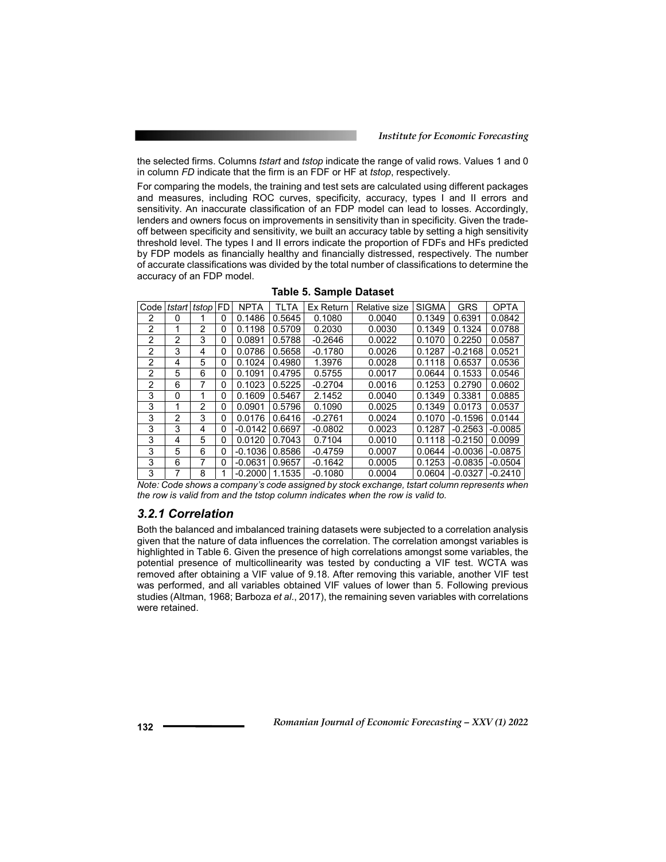the selected firms. Columns *tstart* and *tstop* indicate the range of valid rows. Values 1 and 0 in column *FD* indicate that the firm is an FDF or HF at *tstop*, respectively.

For comparing the models, the training and test sets are calculated using different packages and measures, including ROC curves, specificity, accuracy, types I and II errors and sensitivity. An inaccurate classification of an FDP model can lead to losses. Accordingly, lenders and owners focus on improvements in sensitivity than in specificity. Given the tradeoff between specificity and sensitivity, we built an accuracy table by setting a high sensitivity threshold level. The types I and II errors indicate the proportion of FDFs and HFs predicted by FDP models as financially healthy and financially distressed, respectively. The number of accurate classifications was divided by the total number of classifications to determine the accuracy of an FDP model.

| Code | tstart        | tstop | FD | <b>NPTA</b> | TLTA   | Ex Return | Relative size | <b>SIGMA</b> | GRS       | <b>OPTA</b> |
|------|---------------|-------|----|-------------|--------|-----------|---------------|--------------|-----------|-------------|
| 2    | 0             |       | 0  | 0.1486      | 0.5645 | 0.1080    | 0.0040        | 0.1349       | 0.6391    | 0.0842      |
| 2    | 1             | 2     | 0  | 0.1198      | 0.5709 | 0.2030    | 0.0030        | 0.1349       | 0.1324    | 0.0788      |
| 2    | 2             | 3     | 0  | 0.0891      | 0.5788 | $-0.2646$ | 0.0022        | 0.1070       | 0.2250    | 0.0587      |
| 2    | 3             | 4     | 0  | 0.0786      | 0.5658 | $-0.1780$ | 0.0026        | 0.1287       | $-0.2168$ | 0.0521      |
| 2    | 4             | 5     | 0  | 0.1024      | 0.4980 | 1.3976    | 0.0028        | 0.1118       | 0.6537    | 0.0536      |
| 2    | 5             | 6     | 0  | 0.1091      | 0.4795 | 0.5755    | 0.0017        | 0.0644       | 0.1533    | 0.0546      |
| 2    | 6             |       | 0  | 0.1023      | 0.5225 | $-0.2704$ | 0.0016        | 0.1253       | 0.2790    | 0.0602      |
| 3    | 0             |       | 0  | 0.1609      | 0.5467 | 2.1452    | 0.0040        | 0.1349       | 0.3381    | 0.0885      |
| 3    | 1             | 2     | 0  | 0.0901      | 0.5796 | 0.1090    | 0.0025        | 0.1349       | 0.0173    | 0.0537      |
| 3    | $\mathcal{P}$ | 3     | 0  | 0.0176      | 0.6416 | $-0.2761$ | 0.0024        | 0.1070       | $-0.1596$ | 0.0144      |
| 3    | 3             | 4     | 0  | $-0.0142$   | 0.6697 | $-0.0802$ | 0.0023        | 0.1287       | $-0.2563$ | $-0.0085$   |
| 3    | 4             | 5     | 0  | 0.0120      | 0.7043 | 0.7104    | 0.0010        | 0.1118       | $-0.2150$ | 0.0099      |
| 3    | 5             | 6     | 0  | $-0.1036$   | 0.8586 | $-0.4759$ | 0.0007        | 0.0644       | $-0.0036$ | $-0.0875$   |
| 3    | 6             |       | 0  | $-0.0631$   | 0.9657 | $-0.1642$ | 0.0005        | 0.1253       | $-0.0835$ | $-0.0504$   |
| 3    |               | 8     |    | $-0.2000$   | 1.1535 | $-0.1080$ | 0.0004        | 0.0604       | $-0.0327$ | $-0.2410$   |

**Table 5. Sample Dataset** 

*Note: Code shows a company's code assigned by stock exchange, tstart column represents when the row is valid from and the tstop column indicates when the row is valid to.* 

## *3.2.1 Correlation*

Both the balanced and imbalanced training datasets were subjected to a correlation analysis given that the nature of data influences the correlation. The correlation amongst variables is highlighted in Table 6. Given the presence of high correlations amongst some variables, the potential presence of multicollinearity was tested by conducting a VIF test. WCTA was removed after obtaining a VIF value of 9.18. After removing this variable, another VIF test was performed, and all variables obtained VIF values of lower than 5. Following previous studies (Altman, 1968; Barboza *et al*., 2017), the remaining seven variables with correlations were retained.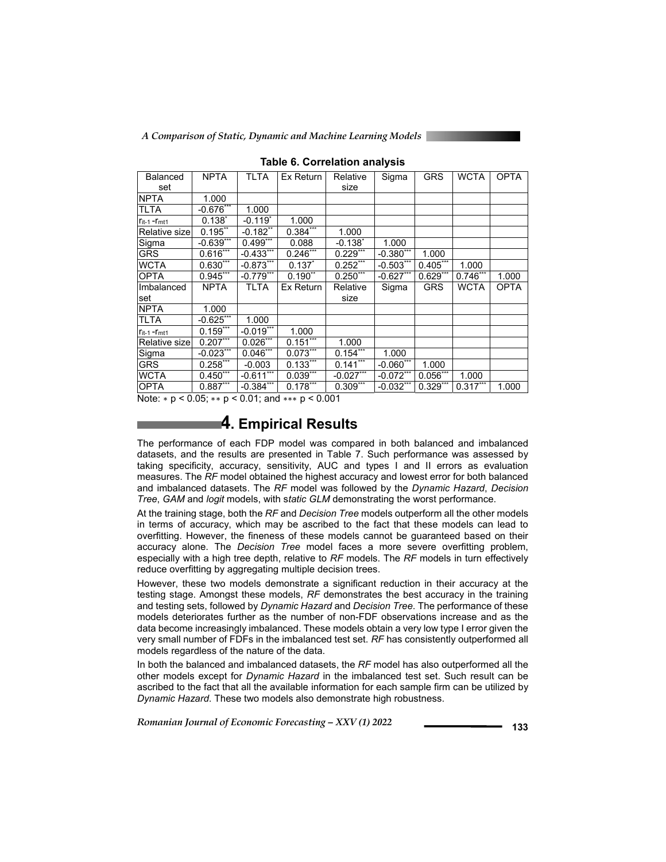*A Comparison of Static, Dynamic and Machine Learning Models*

| Balanced                     | <b>NPTA</b>  | <b>TLTA</b>            | Ex Return   | Relative           | Sigma        | <b>GRS</b> | <b>WCTA</b> | <b>OPTA</b> |
|------------------------------|--------------|------------------------|-------------|--------------------|--------------|------------|-------------|-------------|
|                              |              |                        |             |                    |              |            |             |             |
| set                          |              |                        |             | size               |              |            |             |             |
| <b>NPTA</b>                  | 1.000        |                        |             |                    |              |            |             |             |
| <b>TLTA</b>                  | $-0.676***$  | 1.000                  |             |                    |              |            |             |             |
| $\Gamma$ it-1 - $\Gamma$ mt1 | $0.138^{*}$  | $-0.119$ <sup>*</sup>  | 1.000       |                    |              |            |             |             |
| Relative size                | $0.195^{**}$ | $-0.182**$             | $0.384***$  | 1.000              |              |            |             |             |
| Sigma                        | $-0.639***$  | $0.499***$             | 0.088       | $-0.138^{\dagger}$ | 1.000        |            |             |             |
| <b>GRS</b>                   | $0.616***$   | $-0.433***$            | $0.246***$  | $0.229***$         | $-0.380$ *** | 1.000      |             |             |
| <b>WCTA</b>                  | $0.630***$   | $-0.873***$            | $0.137^{*}$ | $0.252***$         | $-0.503$ **  | $0.405***$ | 1.000       |             |
| <b>OPTA</b>                  | $0.945***$   | $-0.779***$            | $0.190$ **  | $0.250***$         | $-0.627$ *** | $0.629$ ** | $0.746***$  | 1.000       |
| Imbalanced                   | <b>NPTA</b>  | <b>TLTA</b>            | Ex Return   | Relative           | Sigma        | <b>GRS</b> | <b>WCTA</b> | <b>OPTA</b> |
| set                          |              |                        |             | size               |              |            |             |             |
| <b>NPTA</b>                  | 1.000        |                        |             |                    |              |            |             |             |
| <b>TLTA</b>                  | $-0.625***$  | 1.000                  |             |                    |              |            |             |             |
| $r_{it-1}$ - $r_{mt1}$       | $0.159***$   | $-0.019***$            | 1.000       |                    |              |            |             |             |
| Relative sizel               | $0.207***$   | $0.026$ <sup>***</sup> | $0.151***$  | 1.000              |              |            |             |             |
| Sigma                        | $-0.023***$  | $0.046***$             | $0.073***$  | $0.154***$         | 1.000        |            |             |             |
| <b>GRS</b>                   | $0.258***$   | $-0.003$               | $0.133***$  | $0.141***$         | $-0.060***$  | 1.000      |             |             |
| <b>WCTA</b>                  | $0.450***$   | $-0.6\overline{11***}$ | $0.039***$  | $-0.027***$        | $-0.072***$  | $0.056***$ | 1.000       |             |
| <b>OPTA</b>                  | $0.887***$   | $-0.384$ ***           | $0.178***$  | $0.309***$         | $-0.032***$  | $0.329***$ | $0.317***$  | 1.000       |

**Table 6. Correlation analysis** 

Note:  $* p < 0.05$ ;  $** p < 0.01$ ; and  $*** p < 0.001$ 

# **4. Empirical Results**

The performance of each FDP model was compared in both balanced and imbalanced datasets, and the results are presented in Table 7. Such performance was assessed by taking specificity, accuracy, sensitivity, AUC and types I and II errors as evaluation measures. The *RF* model obtained the highest accuracy and lowest error for both balanced and imbalanced datasets. The *RF* model was followed by the *Dynamic Hazard*, *Decision Tree*, *GAM* and *logit* models, with s*tatic GLM* demonstrating the worst performance.

At the training stage, both the *RF* and *Decision Tree* models outperform all the other models in terms of accuracy, which may be ascribed to the fact that these models can lead to overfitting. However, the fineness of these models cannot be guaranteed based on their accuracy alone. The *Decision Tree* model faces a more severe overfitting problem, especially with a high tree depth, relative to *RF* models. The *RF* models in turn effectively reduce overfitting by aggregating multiple decision trees.

However, these two models demonstrate a significant reduction in their accuracy at the testing stage. Amongst these models, *RF* demonstrates the best accuracy in the training and testing sets, followed by *Dynamic Hazard* and *Decision Tree*. The performance of these models deteriorates further as the number of non-FDF observations increase and as the data become increasingly imbalanced. These models obtain a very low type I error given the very small number of FDFs in the imbalanced test set. *RF* has consistently outperformed all models regardless of the nature of the data.

In both the balanced and imbalanced datasets, the *RF* model has also outperformed all the other models except for *Dynamic Hazard* in the imbalanced test set. Such result can be ascribed to the fact that all the available information for each sample firm can be utilized by *Dynamic Hazard*. These two models also demonstrate high robustness.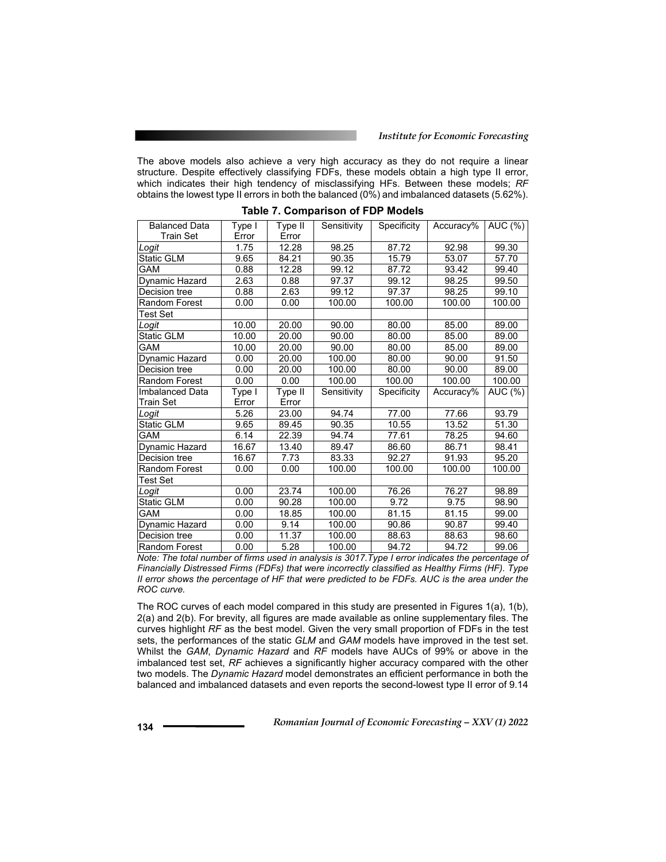#### *Institute for Economic Forecasting*

The above models also achieve a very high accuracy as they do not require a linear structure. Despite effectively classifying FDFs, these models obtain a high type II error, which indicates their high tendency of misclassifying HFs. Between these models; *RF*  obtains the lowest type II errors in both the balanced (0%) and imbalanced datasets (5.62%).

| <b>Balanced Data</b> | Type I | Type II | Sensitivity | Specificity | Accuracy%          | AUC (%) |
|----------------------|--------|---------|-------------|-------------|--------------------|---------|
| Train Set            | Error  | Error   |             |             |                    |         |
| Logit                | 1.75   | 12.28   | 98.25       | 87.72       | 92.98              | 99.30   |
| Static GLM           | 9.65   | 84.21   | 90.35       | 15.79       | 53.07              | 57.70   |
| GAM                  | 0.88   | 12.28   | 99.12       | 87.72       | 93.42              | 99.40   |
| Dynamic Hazard       | 2.63   | 0.88    | 97.37       | 99.12       | 98.25              | 99.50   |
| Decision tree        | 0.88   | 2.63    | 99.12       | 97.37       | 98.25              | 99.10   |
| Random Forest        | 0.00   | 0.00    | 100.00      | 100.00      | 100.00             | 100.00  |
| Test Set             |        |         |             |             |                    |         |
| Logit                | 10.00  | 20.00   | 90.00       | 80.00       | 85.00              | 89.00   |
| <b>Static GLM</b>    | 10.00  | 20.00   | 90.00       | 80.00       | 85.00              | 89.00   |
| GAM                  | 10.00  | 20.00   | 90.00       | 80.00       | 85.00              | 89.00   |
| Dynamic Hazard       | 0.00   | 20.00   | 100.00      | 80.00       | 90.00              | 91.50   |
| Decision tree        | 0.00   | 20.00   | 100.00      | 80.00       | $\overline{90.00}$ | 89.00   |
| Random Forest        | 0.00   | 0.00    | 100.00      | 100.00      | 100.00             | 100.00  |
| Imbalanced Data      | Type I | Type II | Sensitivity | Specificity | Accuracy%          | AUC (%) |
| Train Set            | Error  | Error   |             |             |                    |         |
| Logit                | 5.26   | 23.00   | 94.74       | 77.00       | 77.66              | 93.79   |
| <b>Static GLM</b>    | 9.65   | 89.45   | 90.35       | 10.55       | 13.52              | 51.30   |
| GAM                  | 6.14   | 22.39   | 94.74       | 77.61       | 78.25              | 94.60   |
| Dynamic Hazard       | 16.67  | 13.40   | 89.47       | 86.60       | 86.71              | 98.41   |
| Decision tree        | 16.67  | 7.73    | 83.33       | 92.27       | 91.93              | 95.20   |
| Random Forest        | 0.00   | 0.00    | 100.00      | 100.00      | 100.00             | 100.00  |
| Test Set             |        |         |             |             |                    |         |
| Logit                | 0.00   | 23.74   | 100.00      | 76.26       | 76.27              | 98.89   |
| Static GLM           | 0.00   | 90.28   | 100.00      | 9.72        | 9.75               | 98.90   |
| GAM                  | 0.00   | 18.85   | 100.00      | 81.15       | 81.15              | 99.00   |
| Dynamic Hazard       | 0.00   | 9.14    | 100.00      | 90.86       | 90.87              | 99.40   |
| Decision tree        | 0.00   | 11.37   | 100.00      | 88.63       | 88.63              | 98.60   |
| <b>Random Forest</b> | 0.00   | 5.28    | 100.00      | 94.72       | 94.72              | 99.06   |

| Table 7. Comparison of FDP Models |  |  |  |  |  |  |
|-----------------------------------|--|--|--|--|--|--|
|-----------------------------------|--|--|--|--|--|--|

*Note: The total number of firms used in analysis is 3017.Type I error indicates the percentage of Financially Distressed Firms (FDFs) that were incorrectly classified as Healthy Firms (HF). Type II error shows the percentage of HF that were predicted to be FDFs. AUC is the area under the ROC curve.* 

The ROC curves of each model compared in this study are presented in Figures 1(a), 1(b), 2(a) and 2(b). For brevity, all figures are made available as online supplementary files. The curves highlight *RF* as the best model. Given the very small proportion of FDFs in the test sets, the performances of the static *GLM* and *GAM* models have improved in the test set. Whilst the *GAM*, *Dynamic Hazard* and *RF* models have AUCs of 99% or above in the imbalanced test set, *RF* achieves a significantly higher accuracy compared with the other two models. The *Dynamic Hazard* model demonstrates an efficient performance in both the balanced and imbalanced datasets and even reports the second-lowest type II error of 9.14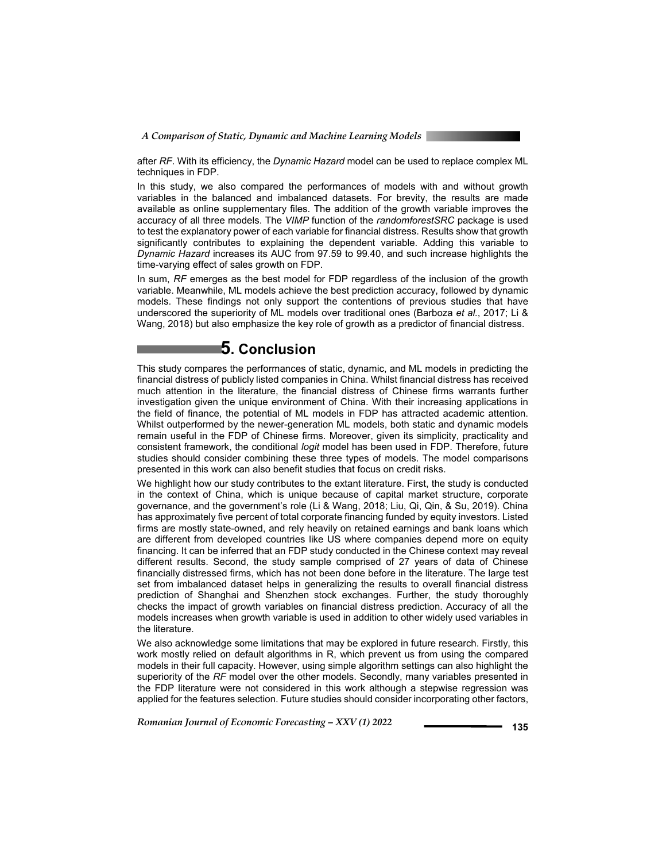*A Comparison of Static, Dynamic and Machine Learning Models*

after *RF*. With its efficiency, the *Dynamic Hazard* model can be used to replace complex ML techniques in FDP.

In this study, we also compared the performances of models with and without growth variables in the balanced and imbalanced datasets. For brevity, the results are made available as online supplementary files. The addition of the growth variable improves the accuracy of all three models. The *VIMP* function of the *randomforestSRC* package is used to test the explanatory power of each variable for financial distress. Results show that growth significantly contributes to explaining the dependent variable. Adding this variable to *Dynamic Hazard* increases its AUC from 97.59 to 99.40, and such increase highlights the time-varying effect of sales growth on FDP.

In sum, *RF* emerges as the best model for FDP regardless of the inclusion of the growth variable. Meanwhile, ML models achieve the best prediction accuracy, followed by dynamic models. These findings not only support the contentions of previous studies that have underscored the superiority of ML models over traditional ones (Barboza *et al.*, 2017; Li & Wang, 2018) but also emphasize the key role of growth as a predictor of financial distress.

# **5. Conclusion**

This study compares the performances of static, dynamic, and ML models in predicting the financial distress of publicly listed companies in China. Whilst financial distress has received much attention in the literature, the financial distress of Chinese firms warrants further investigation given the unique environment of China. With their increasing applications in the field of finance, the potential of ML models in FDP has attracted academic attention. Whilst outperformed by the newer-generation ML models, both static and dynamic models remain useful in the FDP of Chinese firms. Moreover, given its simplicity, practicality and consistent framework, the conditional *logit* model has been used in FDP. Therefore, future studies should consider combining these three types of models. The model comparisons presented in this work can also benefit studies that focus on credit risks.

We highlight how our study contributes to the extant literature. First, the study is conducted in the context of China, which is unique because of capital market structure, corporate governance, and the government's role (Li & Wang, 2018; Liu, Qi, Qin, & Su, 2019). China has approximately five percent of total corporate financing funded by equity investors. Listed firms are mostly state-owned, and rely heavily on retained earnings and bank loans which are different from developed countries like US where companies depend more on equity financing. It can be inferred that an FDP study conducted in the Chinese context may reveal different results. Second, the study sample comprised of 27 years of data of Chinese financially distressed firms, which has not been done before in the literature. The large test set from imbalanced dataset helps in generalizing the results to overall financial distress prediction of Shanghai and Shenzhen stock exchanges. Further, the study thoroughly checks the impact of growth variables on financial distress prediction. Accuracy of all the models increases when growth variable is used in addition to other widely used variables in the literature.

We also acknowledge some limitations that may be explored in future research. Firstly, this work mostly relied on default algorithms in R, which prevent us from using the compared models in their full capacity. However, using simple algorithm settings can also highlight the superiority of the *RF* model over the other models. Secondly, many variables presented in the FDP literature were not considered in this work although a stepwise regression was applied for the features selection. Future studies should consider incorporating other factors,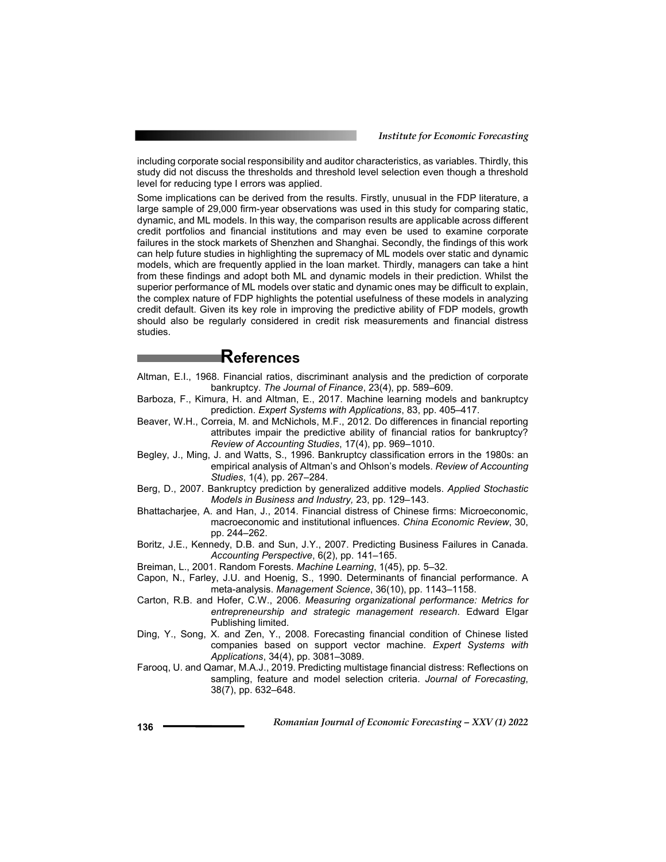including corporate social responsibility and auditor characteristics, as variables. Thirdly, this study did not discuss the thresholds and threshold level selection even though a threshold level for reducing type I errors was applied.

Some implications can be derived from the results. Firstly, unusual in the FDP literature, a large sample of 29,000 firm-year observations was used in this study for comparing static, dynamic, and ML models. In this way, the comparison results are applicable across different credit portfolios and financial institutions and may even be used to examine corporate failures in the stock markets of Shenzhen and Shanghai. Secondly, the findings of this work can help future studies in highlighting the supremacy of ML models over static and dynamic models, which are frequently applied in the loan market. Thirdly, managers can take a hint from these findings and adopt both ML and dynamic models in their prediction. Whilst the superior performance of ML models over static and dynamic ones may be difficult to explain, the complex nature of FDP highlights the potential usefulness of these models in analyzing credit default. Given its key role in improving the predictive ability of FDP models, growth should also be regularly considered in credit risk measurements and financial distress studies.

# **References**

- Altman, E.I., 1968. Financial ratios, discriminant analysis and the prediction of corporate bankruptcy. *The Journal of Finance*, 23(4), pp. 589–609.
- Barboza, F., Kimura, H. and Altman, E., 2017. Machine learning models and bankruptcy prediction. *Expert Systems with Applications*, 83, pp. 405–417.
- Beaver, W.H., Correia, M. and McNichols, M.F., 2012. Do differences in financial reporting attributes impair the predictive ability of financial ratios for bankruptcy? *Review of Accounting Studies*, 17(4), pp. 969–1010.
- Begley, J., Ming, J. and Watts, S., 1996. Bankruptcy classification errors in the 1980s: an empirical analysis of Altman's and Ohlson's models. *Review of Accounting Studies*, 1(4), pp. 267–284.
- Berg, D., 2007. Bankruptcy prediction by generalized additive models. *Applied Stochastic Models in Business and Industry,* 23, pp. 129–143.
- Bhattacharjee, A. and Han, J., 2014. Financial distress of Chinese firms: Microeconomic, macroeconomic and institutional influences. *China Economic Review*, 30, pp. 244–262.
- Boritz, J.E., Kennedy, D.B. and Sun, J.Y., 2007. Predicting Business Failures in Canada. *Accounting Perspective*, 6(2), pp. 141–165.
- Breiman, L., 2001. Random Forests. *Machine Learning*, 1(45), pp. 5–32.
- Capon, N., Farley, J.U. and Hoenig, S., 1990. Determinants of financial performance. A meta-analysis. *Management Science*, 36(10), pp. 1143–1158.
- Carton, R.B. and Hofer, C.W., 2006. *Measuring organizational performance: Metrics for entrepreneurship and strategic management research*. Edward Elgar Publishing limited.
- Ding, Y., Song, X. and Zen, Y., 2008. Forecasting financial condition of Chinese listed companies based on support vector machine. *Expert Systems with Applications*, 34(4), pp. 3081–3089.
- Farooq, U. and Qamar, M.A.J., 2019. Predicting multistage financial distress: Reflections on sampling, feature and model selection criteria. *Journal of Forecasting*, 38(7), pp. 632–648.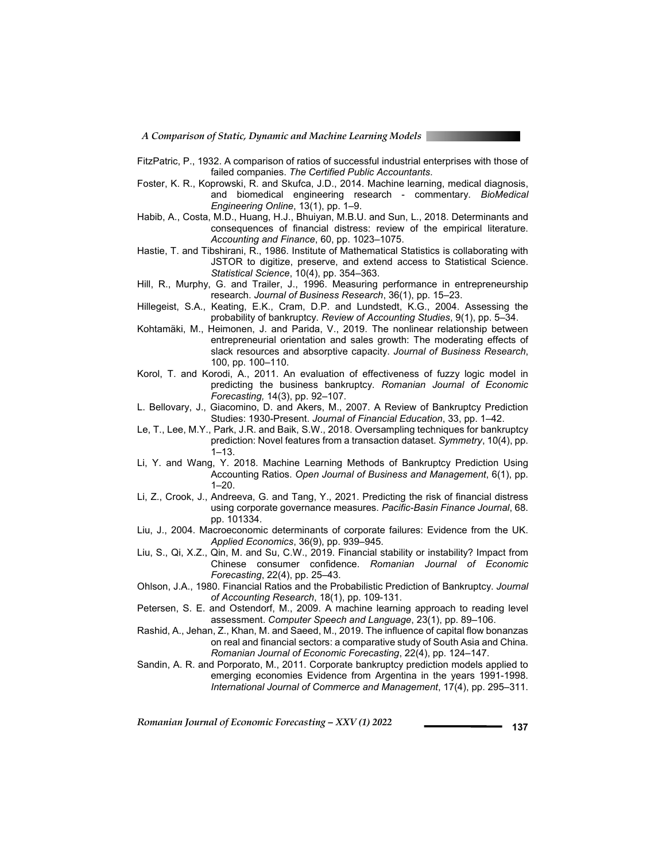*A Comparison of Static, Dynamic and Machine Learning Models*

- FitzPatric, P., 1932. A comparison of ratios of successful industrial enterprises with those of failed companies. *The Certified Public Accountants*.
- Foster, K. R., Koprowski, R. and Skufca, J.D., 2014. Machine learning, medical diagnosis, and biomedical engineering research - commentary. *BioMedical Engineering Online*, 13(1), pp. 1–9.
- Habib, A., Costa, M.D., Huang, H.J., Bhuiyan, M.B.U. and Sun, L., 2018. Determinants and consequences of financial distress: review of the empirical literature. *Accounting and Finance*, 60, pp. 1023–1075.
- Hastie, T. and Tibshirani, R., 1986. Institute of Mathematical Statistics is collaborating with JSTOR to digitize, preserve, and extend access to Statistical Science. *Statistical Science*, 10(4), pp. 354–363.
- Hill, R., Murphy, G. and Trailer, J., 1996. Measuring performance in entrepreneurship research. *Journal of Business Research*, 36(1), pp. 15–23.
- Hillegeist, S.A., Keating, E.K., Cram, D.P. and Lundstedt, K.G., 2004. Assessing the probability of bankruptcy. *Review of Accounting Studies*, 9(1), pp. 5–34.
- Kohtamäki, M., Heimonen, J. and Parida, V., 2019. The nonlinear relationship between entrepreneurial orientation and sales growth: The moderating effects of slack resources and absorptive capacity. *Journal of Business Research*, 100, pp. 100–110.
- Korol, T. and Korodi, A., 2011. An evaluation of effectiveness of fuzzy logic model in predicting the business bankruptcy. *Romanian Journal of Economic Forecasting,* 14(3), pp. 92–107.
- L. Bellovary, J., Giacomino, D. and Akers, M., 2007. A Review of Bankruptcy Prediction Studies: 1930-Present. *Journal of Financial Education*, 33, pp. 1–42.
- Le, T., Lee, M.Y., Park, J.R. and Baik, S.W., 2018. Oversampling techniques for bankruptcy prediction: Novel features from a transaction dataset. *Symmetry*, 10(4), pp. 1–13.
- Li, Y. and Wang, Y. 2018. Machine Learning Methods of Bankruptcy Prediction Using Accounting Ratios. *Open Journal of Business and Management*, 6(1), pp.  $1 - 20$ .
- Li, Z., Crook, J., Andreeva, G. and Tang, Y., 2021. Predicting the risk of financial distress using corporate governance measures. *Pacific-Basin Finance Journal*, 68. pp. 101334.
- Liu, J., 2004. Macroeconomic determinants of corporate failures: Evidence from the UK. *Applied Economics*, 36(9), pp. 939–945.
- Liu, S., Qi, X.Z., Qin, M. and Su, C.W., 2019. Financial stability or instability? Impact from Chinese consumer confidence. *Romanian Journal of Economic Forecasting*, 22(4), pp. 25–43.
- Ohlson, J.A., 1980. Financial Ratios and the Probabilistic Prediction of Bankruptcy. *Journal of Accounting Research*, 18(1), pp. 109-131.
- Petersen, S. E. and Ostendorf, M., 2009. A machine learning approach to reading level assessment. *Computer Speech and Language*, 23(1), pp. 89–106.
- Rashid, A., Jehan, Z., Khan, M. and Saeed, M., 2019. The influence of capital flow bonanzas on real and financial sectors: a comparative study of South Asia and China. *Romanian Journal of Economic Forecasting*, 22(4), pp. 124–147.
- Sandin, A. R. and Porporato, M., 2011. Corporate bankruptcy prediction models applied to emerging economies Evidence from Argentina in the years 1991-1998. *International Journal of Commerce and Management*, 17(4), pp. 295–311.